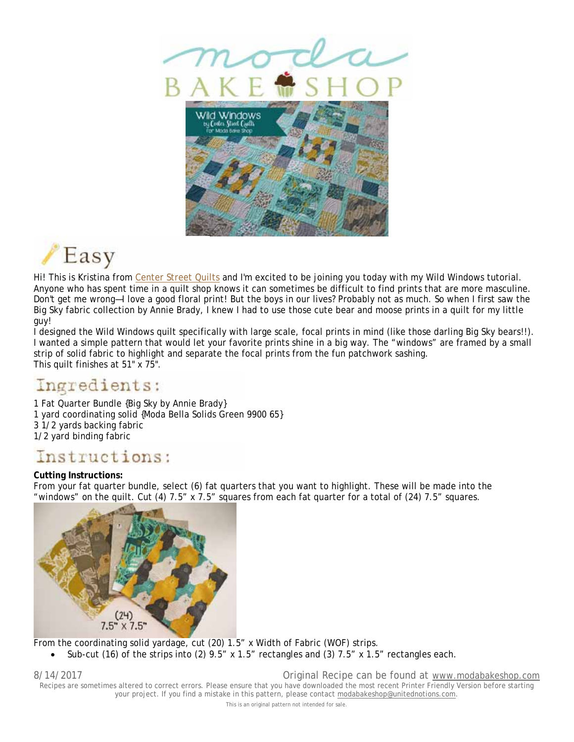



Hi! This is Kristina from Center Street Quilts and I'm excited to be joining you today with my Wild Windows tutorial. Anyone who has spent time in a quilt shop knows it can sometimes be difficult to find prints that are more masculine. Don't get me wrong—I love a good floral print! But the boys in our lives? Probably not as much. So when I first saw the Big Sky fabric collection by Annie Brady, I knew I had to use those cute bear and moose prints in a quilt for my little guy!

I designed the Wild Windows quilt specifically with large scale, focal prints in mind (like those darling Big Sky bears!!). I wanted a simple pattern that would let your favorite prints shine in a big way. The "windows" are framed by a small strip of solid fabric to highlight and separate the focal prints from the fun patchwork sashing. This quilt finishes at 51" x 75".

# Ingredients:

1 Fat Quarter Bundle {Big Sky by Annie Brady} 1 yard coordinating solid {Moda Bella Solids Green 9900 65} 3 1/2 yards backing fabric 1/2 yard binding fabric

## Instructions:

### **Cutting Instructions:**

From your fat quarter bundle, select (6) fat quarters that you want to highlight. These will be made into the "windows" on the quilt. Cut (4) 7.5" x 7.5" squares from each fat quarter for a total of (24) 7.5" squares.



From the coordinating solid yardage, cut (20) 1.5" x Width of Fabric (WOF) strips.

Sub-cut (16) of the strips into (2) 9.5" x 1.5" rectangles and (3) 7.5" x 1.5" rectangles each.

8/14/2017 Original Recipe can be found at www.modabakeshop.com Recipes are sometimes altered to correct errors. Please ensure that you have downloaded the most recent Printer Friendly Version before starting your project. If you find a mistake in this pattern, please contact modabakeshop@unitednotions.com.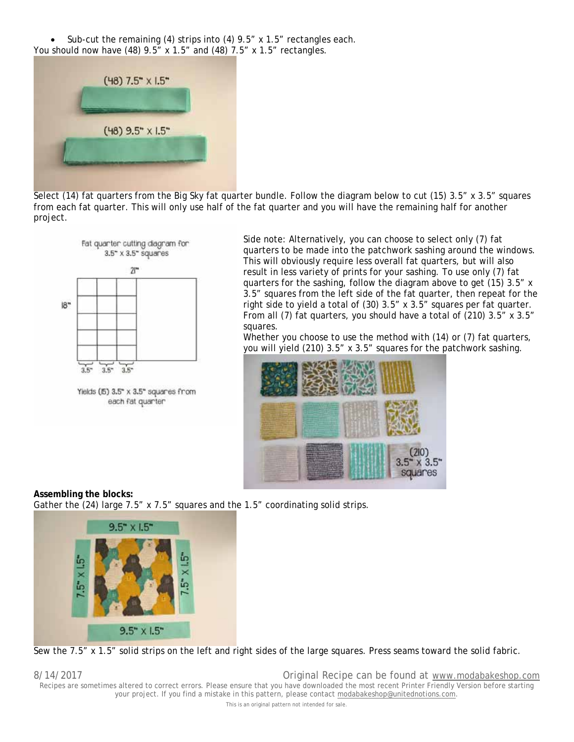Sub-cut the remaining (4) strips into (4) 9.5" x 1.5" rectangles each. You should now have (48) 9.5" x 1.5" and (48) 7.5" x 1.5" rectangles.



Select (14) fat quarters from the Big Sky fat quarter bundle. Follow the diagram below to cut (15) 3.5" x 3.5" squares from each fat quarter. This will only use half of the fat quarter and you will have the remaining half for another project.



Yields (f5) 3.5" x 3.5" squares from each fat quarter

Side note: Alternatively, you can choose to select only (7) fat quarters to be made into the patchwork sashing around the windows. This will obviously require less overall fat quarters, but will also result in less variety of prints for your sashing. To use only (7) fat quarters for the sashing, follow the diagram above to get (15) 3.5" x 3.5" squares from the left side of the fat quarter, then repeat for the right side to yield a total of (30) 3.5" x 3.5" squares per fat quarter. From all (7) fat quarters, you should have a total of (210) 3.5" x 3.5" squares.

Whether you choose to use the method with (14) or (7) fat quarters, you will yield (210) 3.5" x 3.5" squares for the patchwork sashing.



**Assembling the blocks:** Gather the (24) large 7.5" x 7.5" squares and the 1.5" coordinating solid strips.



Sew the 7.5" x 1.5" solid strips on the left and right sides of the large squares. Press seams toward the solid fabric.

8/14/2017 Original Recipe can be found at www.modabakeshop.com Recipes are sometimes altered to correct errors. Please ensure that you have downloaded the most recent Printer Friendly Version before starting your project. If you find a mistake in this pattern, please contact modabakeshop@unitednotions.com.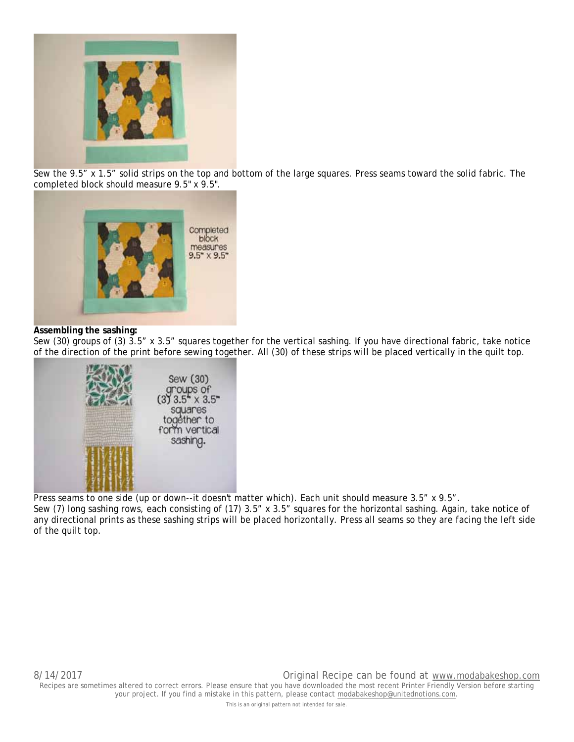

Sew the 9.5" x 1.5" solid strips on the top and bottom of the large squares. Press seams toward the solid fabric. The completed block should measure 9.5" x 9.5".



#### **Assembling the sashing:**

Sew (30) groups of (3) 3.5" x 3.5" squares together for the vertical sashing. If you have directional fabric, take notice of the direction of the print before sewing together. All (30) of these strips will be placed vertically in the quilt top.



Press seams to one side (up or down--it doesn't matter which). Each unit should measure 3.5" x 9.5".

Sew (7) long sashing rows, each consisting of (17) 3.5" x 3.5" squares for the horizontal sashing. Again, take notice of any directional prints as these sashing strips will be placed horizontally. Press all seams so they are facing the left side of the quilt top.